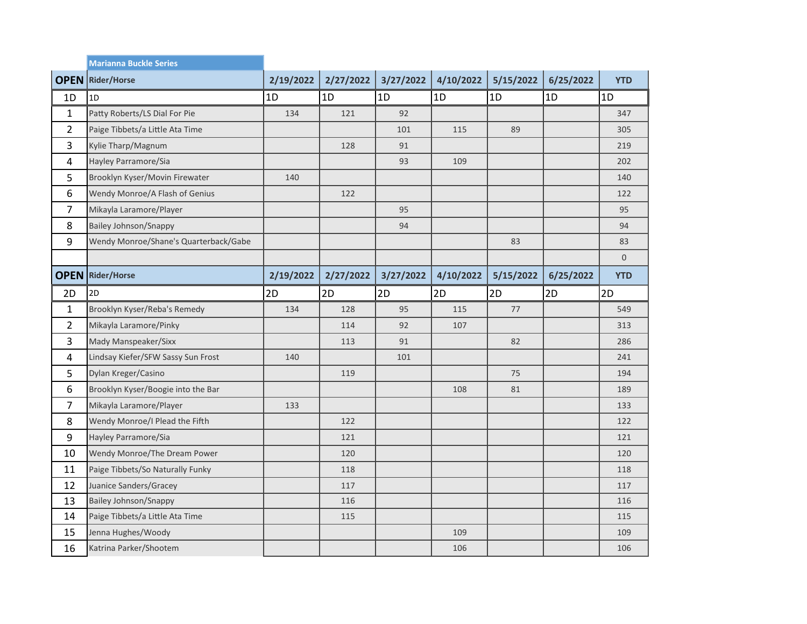|                | <b>Marianna Buckle Series</b>         |           |           |           |           |           |           |             |
|----------------|---------------------------------------|-----------|-----------|-----------|-----------|-----------|-----------|-------------|
| <b>OPEN</b>    | Rider/Horse                           | 2/19/2022 | 2/27/2022 | 3/27/2022 | 4/10/2022 | 5/15/2022 | 6/25/2022 | <b>YTD</b>  |
| 1D             | 1D                                    | 1D        | 1D        | 1D        | 1D        | 1D        | 1D        | 1D          |
| $\mathbf{1}$   | Patty Roberts/LS Dial For Pie         | 134       | 121       | 92        |           |           |           | 347         |
| 2              | Paige Tibbets/a Little Ata Time       |           |           | 101       | 115       | 89        |           | 305         |
| 3              | Kylie Tharp/Magnum                    |           | 128       | 91        |           |           |           | 219         |
| 4              | Hayley Parramore/Sia                  |           |           | 93        | 109       |           |           | 202         |
| 5              | Brooklyn Kyser/Movin Firewater        | 140       |           |           |           |           |           | 140         |
| 6              | Wendy Monroe/A Flash of Genius        |           | 122       |           |           |           |           | 122         |
| $\overline{7}$ | Mikayla Laramore/Player               |           |           | 95        |           |           |           | 95          |
| 8              | <b>Bailey Johnson/Snappy</b>          |           |           | 94        |           |           |           | 94          |
| 9              | Wendy Monroe/Shane's Quarterback/Gabe |           |           |           |           | 83        |           | 83          |
|                |                                       |           |           |           |           |           |           | $\mathbf 0$ |
| <b>OPEN</b>    | <b>Rider/Horse</b>                    | 2/19/2022 | 2/27/2022 | 3/27/2022 | 4/10/2022 | 5/15/2022 | 6/25/2022 | <b>YTD</b>  |
| 2D             | 2D                                    | 2D        | 2D        | 2D        | 2D        | 2D        | 2D        | 2D          |
| $\mathbf{1}$   | Brooklyn Kyser/Reba's Remedy          | 134       | 128       | 95        | 115       | 77        |           | 549         |
|                |                                       |           |           |           |           |           |           |             |
| $\overline{2}$ | Mikayla Laramore/Pinky                |           | 114       | 92        | 107       |           |           | 313         |
| 3              | Mady Manspeaker/Sixx                  |           | 113       | 91        |           | 82        |           | 286         |
| 4              | Lindsay Kiefer/SFW Sassy Sun Frost    | 140       |           | 101       |           |           |           | 241         |
| 5              | Dylan Kreger/Casino                   |           | 119       |           |           | 75        |           | 194         |
| 6              | Brooklyn Kyser/Boogie into the Bar    |           |           |           | 108       | 81        |           | 189         |
| 7              | Mikayla Laramore/Player               | 133       |           |           |           |           |           | 133         |
| 8              | Wendy Monroe/I Plead the Fifth        |           | 122       |           |           |           |           | 122         |
| 9              | Hayley Parramore/Sia                  |           | 121       |           |           |           |           | 121         |
| 10             | Wendy Monroe/The Dream Power          |           | 120       |           |           |           |           | 120         |
| 11             | Paige Tibbets/So Naturally Funky      |           | 118       |           |           |           |           | 118         |
| 12             | Juanice Sanders/Gracey                |           | 117       |           |           |           |           | 117         |
| 13             | <b>Bailey Johnson/Snappy</b>          |           | 116       |           |           |           |           | 116         |
| 14             | Paige Tibbets/a Little Ata Time       |           | 115       |           |           |           |           | 115         |
| 15             | Jenna Hughes/Woody                    |           |           |           | 109       |           |           | 109         |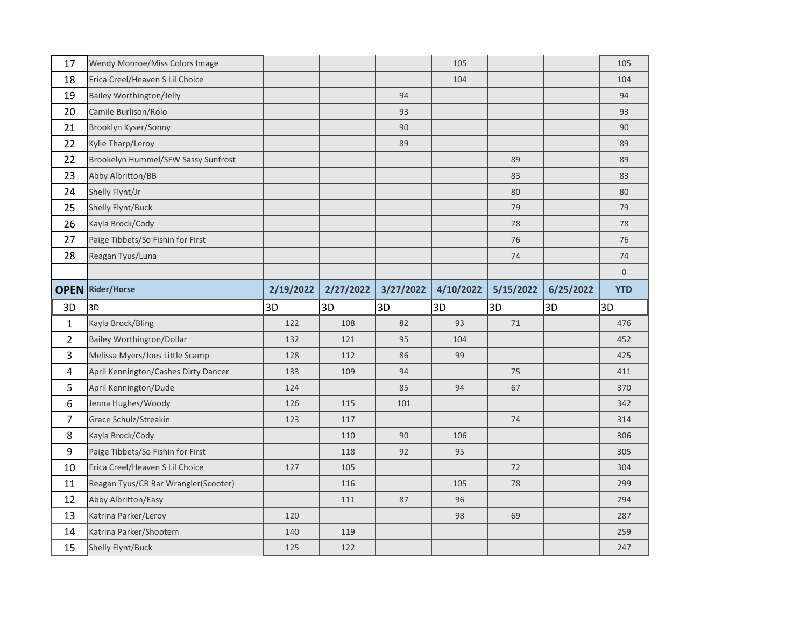| 17             | Wendy Monroe/Miss Colors Image       |           |           |           | 105       |           |           | 105         |
|----------------|--------------------------------------|-----------|-----------|-----------|-----------|-----------|-----------|-------------|
| 18             | Erica Creel/Heaven S Lil Choice      |           |           |           | 104       |           |           | 104         |
| 19             | <b>Bailey Worthington/Jelly</b>      |           |           | 94        |           |           |           | 94          |
| 20             | Camile Burlison/Rolo                 |           |           | 93        |           |           |           | 93          |
| 21             | Brooklyn Kyser/Sonny                 |           |           | 90        |           |           |           | 90          |
| 22             | Kylie Tharp/Leroy                    |           |           | 89        |           |           |           | 89          |
| 22             | Brookelyn Hummel/SFW Sassy Sunfrost  |           |           |           |           | 89        |           | 89          |
| 23             | Abby Albritton/BB                    |           |           |           |           | 83        |           | 83          |
| 24             | Shelly Flynt/Jr                      |           |           |           |           | 80        |           | 80          |
| 25             | Shelly Flynt/Buck                    |           |           |           |           | 79        |           | 79          |
| 26             | Kayla Brock/Cody                     |           |           |           |           | 78        |           | 78          |
| 27             | Paige Tibbets/So Fishin for First    |           |           |           |           | 76        |           | 76          |
| 28             | Reagan Tyus/Luna                     |           |           |           |           | 74        |           | 74          |
|                |                                      |           |           |           |           |           |           | $\mathbf 0$ |
| <b>OPEN</b>    | <b>Rider/Horse</b>                   | 2/19/2022 | 2/27/2022 | 3/27/2022 | 4/10/2022 | 5/15/2022 | 6/25/2022 | <b>YTD</b>  |
|                |                                      |           |           |           |           |           |           |             |
| 3D             | 3D                                   | 3D        | 3D        | 3D        | 3D        | 3D        | 3D        | 3D          |
| $\mathbf{1}$   | Kayla Brock/Bling                    | 122       | 108       | 82        | 93        | 71        |           | 476         |
| $\overline{2}$ | <b>Bailey Worthington/Dollar</b>     | 132       | 121       | 95        | 104       |           |           | 452         |
| 3              | Melissa Myers/Joes Little Scamp      | 128       | 112       | 86        | 99        |           |           | 425         |
| $\overline{4}$ | April Kennington/Cashes Dirty Dancer | 133       | 109       | 94        |           | 75        |           | 411         |
| 5              | April Kennington/Dude                | 124       |           | 85        | 94        | 67        |           | 370         |
| 6              | Jenna Hughes/Woody                   | 126       | 115       | 101       |           |           |           | 342         |
| $\overline{7}$ | Grace Schulz/Streakin                | 123       | 117       |           |           | 74        |           | 314         |
| 8              | Kayla Brock/Cody                     |           | 110       | 90        | 106       |           |           | 306         |
| $\mathsf 9$    | Paige Tibbets/So Fishin for First    |           | 118       | 92        | 95        |           |           | 305         |
| 10             | Erica Creel/Heaven S Lil Choice      | 127       | 105       |           |           | 72        |           | 304         |
| 11             | Reagan Tyus/CR Bar Wrangler(Scooter) |           | 116       |           | 105       | 78        |           | 299         |
| 12             | Abby Albritton/Easy                  |           | 111       | 87        | 96        |           |           | 294         |
| 13             | Katrina Parker/Leroy                 | 120       |           |           | 98        | 69        |           | 287         |
| 14             | Katrina Parker/Shootem               | 140       | 119       |           |           |           |           | 259         |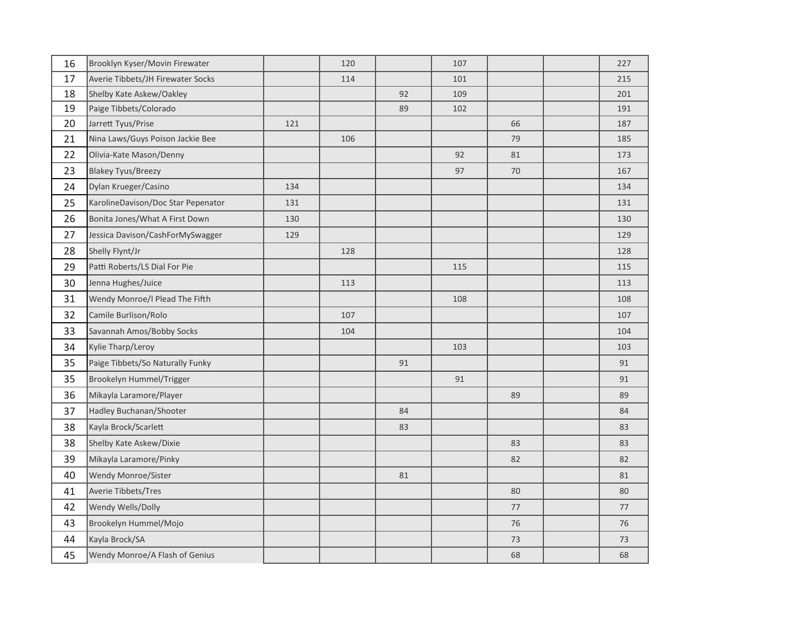| 16 | Brooklyn Kyser/Movin Firewater     |     | 120 |    | 107 |    | 227 |
|----|------------------------------------|-----|-----|----|-----|----|-----|
| 17 | Averie Tibbets/JH Firewater Socks  |     | 114 |    | 101 |    | 215 |
| 18 | Shelby Kate Askew/Oakley           |     |     | 92 | 109 |    | 201 |
| 19 | Paige Tibbets/Colorado             |     |     | 89 | 102 |    | 191 |
| 20 | Jarrett Tyus/Prise                 | 121 |     |    |     | 66 | 187 |
| 21 | Nina Laws/Guys Poison Jackie Bee   |     | 106 |    |     | 79 | 185 |
| 22 | Olivia-Kate Mason/Denny            |     |     |    | 92  | 81 | 173 |
| 23 | <b>Blakey Tyus/Breezy</b>          |     |     |    | 97  | 70 | 167 |
| 24 | Dylan Krueger/Casino               | 134 |     |    |     |    | 134 |
| 25 | KarolineDavison/Doc Star Pepenator | 131 |     |    |     |    | 131 |
| 26 | Bonita Jones/What A First Down     | 130 |     |    |     |    | 130 |
| 27 | Jessica Davison/CashForMySwagger   | 129 |     |    |     |    | 129 |
| 28 | Shelly Flynt/Jr                    |     | 128 |    |     |    | 128 |
| 29 | Patti Roberts/LS Dial For Pie      |     |     |    | 115 |    | 115 |
| 30 | Jenna Hughes/Juice                 |     | 113 |    |     |    | 113 |
| 31 | Wendy Monroe/I Plead The Fifth     |     |     |    | 108 |    | 108 |
| 32 | Camile Burlison/Rolo               |     | 107 |    |     |    | 107 |
| 33 | Savannah Amos/Bobby Socks          |     | 104 |    |     |    | 104 |
| 34 | Kylie Tharp/Leroy                  |     |     |    | 103 |    | 103 |
| 35 | Paige Tibbets/So Naturally Funky   |     |     | 91 |     |    | 91  |
| 35 | Brookelyn Hummel/Trigger           |     |     |    | 91  |    | 91  |
| 36 | Mikayla Laramore/Player            |     |     |    |     | 89 | 89  |
| 37 | Hadley Buchanan/Shooter            |     |     | 84 |     |    | 84  |
| 38 | Kayla Brock/Scarlett               |     |     | 83 |     |    | 83  |
| 38 | Shelby Kate Askew/Dixie            |     |     |    |     | 83 | 83  |
| 39 | Mikayla Laramore/Pinky             |     |     |    |     | 82 | 82  |
| 40 | Wendy Monroe/Sister                |     |     | 81 |     |    | 81  |
| 41 | Averie Tibbets/Tres                |     |     |    |     | 80 | 80  |
| 42 | Wendy Wells/Dolly                  |     |     |    |     | 77 | 77  |
| 43 | Brookelyn Hummel/Mojo              |     |     |    |     | 76 | 76  |
| 44 | Kayla Brock/SA                     |     |     |    |     | 73 | 73  |
| 45 | Wendy Monroe/A Flash of Genius     |     |     |    |     | 68 | 68  |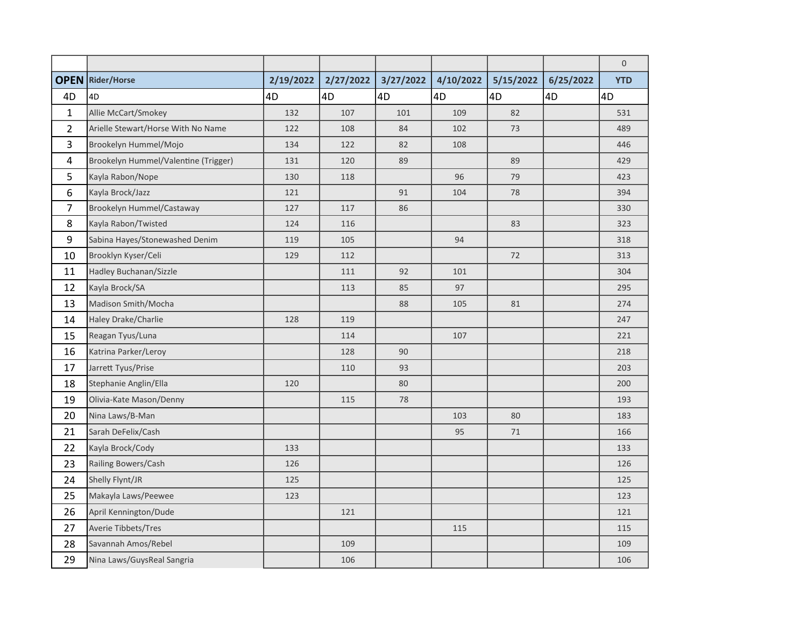|                |                                      |           |           |           |           |           |           | $\mathbf 0$ |
|----------------|--------------------------------------|-----------|-----------|-----------|-----------|-----------|-----------|-------------|
| <b>OPEN</b>    | Rider/Horse                          | 2/19/2022 | 2/27/2022 | 3/27/2022 | 4/10/2022 | 5/15/2022 | 6/25/2022 | <b>YTD</b>  |
| 4D             | 4D                                   | 4D        | 4D        | 4D        | 4D        | 4D        | 4D        | 4D          |
| $\mathbf{1}$   | Allie McCart/Smokey                  | 132       | 107       | 101       | 109       | 82        |           | 531         |
| $\overline{2}$ | Arielle Stewart/Horse With No Name   | 122       | 108       | 84        | 102       | 73        |           | 489         |
| 3              | Brookelyn Hummel/Mojo                | 134       | 122       | 82        | 108       |           |           | 446         |
| 4              | Brookelyn Hummel/Valentine (Trigger) | 131       | 120       | 89        |           | 89        |           | 429         |
| 5              | Kayla Rabon/Nope                     | 130       | 118       |           | 96        | 79        |           | 423         |
| 6              | Kayla Brock/Jazz                     | 121       |           | 91        | 104       | 78        |           | 394         |
| $\overline{7}$ | Brookelyn Hummel/Castaway            | 127       | 117       | 86        |           |           |           | 330         |
| 8              | Kayla Rabon/Twisted                  | 124       | 116       |           |           | 83        |           | 323         |
| 9              | Sabina Hayes/Stonewashed Denim       | 119       | 105       |           | 94        |           |           | 318         |
| 10             | Brooklyn Kyser/Celi                  | 129       | 112       |           |           | 72        |           | 313         |
| 11             | Hadley Buchanan/Sizzle               |           | 111       | 92        | 101       |           |           | 304         |
| 12             | Kayla Brock/SA                       |           | 113       | 85        | 97        |           |           | 295         |
| 13             | Madison Smith/Mocha                  |           |           | 88        | 105       | 81        |           | 274         |
| 14             | Haley Drake/Charlie                  | 128       | 119       |           |           |           |           | 247         |
| 15             | Reagan Tyus/Luna                     |           | 114       |           | 107       |           |           | 221         |
| 16             | Katrina Parker/Leroy                 |           | 128       | 90        |           |           |           | 218         |
| 17             | Jarrett Tyus/Prise                   |           | 110       | 93        |           |           |           | 203         |
| 18             | Stephanie Anglin/Ella                | 120       |           | 80        |           |           |           | 200         |
| 19             | Olivia-Kate Mason/Denny              |           | 115       | 78        |           |           |           | 193         |
| 20             | Nina Laws/B-Man                      |           |           |           | 103       | 80        |           | 183         |
| 21             | Sarah DeFelix/Cash                   |           |           |           | 95        | 71        |           | 166         |
| 22             | Kayla Brock/Cody                     | 133       |           |           |           |           |           | 133         |
| 23             | Railing Bowers/Cash                  | 126       |           |           |           |           |           | 126         |
| 24             | Shelly Flynt/JR                      | 125       |           |           |           |           |           | 125         |
| 25             | Makayla Laws/Peewee                  | 123       |           |           |           |           |           | 123         |
| 26             | April Kennington/Dude                |           | 121       |           |           |           |           | 121         |
| 27             | Averie Tibbets/Tres                  |           |           |           | 115       |           |           | 115         |
| 28             | Savannah Amos/Rebel                  |           | 109       |           |           |           |           | 109         |
| 29             | Nina Laws/GuysReal Sangria           |           | 106       |           |           |           |           | 106         |